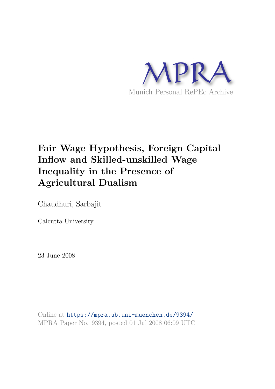

# **Fair Wage Hypothesis, Foreign Capital Inflow and Skilled-unskilled Wage Inequality in the Presence of Agricultural Dualism**

Chaudhuri, Sarbajit

Calcutta University

23 June 2008

Online at https://mpra.ub.uni-muenchen.de/9394/ MPRA Paper No. 9394, posted 01 Jul 2008 06:09 UTC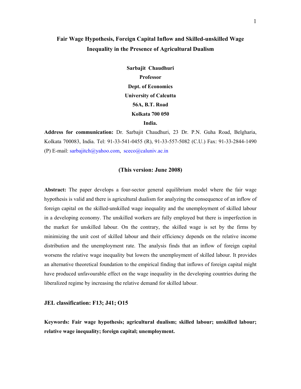# **Fair Wage Hypothesis, Foreign Capital Inflow and Skilled-unskilled Wage Inequality in the Presence of Agricultural Dualism**

**Sarbajit Chaudhuri Professor Dept. of Economics University of Calcutta 56A, B.T. Road Kolkata 700 050 India.** 

**Address for communication:** Dr. Sarbajit Chaudhuri, 23 Dr. P.N. Guha Road, Belgharia, Kolkata 700083, India. Tel: 91-33-541-0455 (R), 91-33-557-5082 (C.U.) Fax: 91-33-2844-1490 (P) E-mail:  $sarbajitch@yahoo.com$ ,  $seco@caluniv.ac.in$ 

## **(This version: June 2008)**

**Abstract:** The paper develops a four-sector general equilibrium model where the fair wage hypothesis is valid and there is agricultural dualism for analyzing the consequence of an inflow of foreign capital on the skilled-unskilled wage inequality and the unemployment of skilled labour in a developing economy. The unskilled workers are fully employed but there is imperfection in the market for unskilled labour. On the contrary, the skilled wage is set by the firms by minimizing the unit cost of skilled labour and their efficiency depends on the relative income distribution and the unemployment rate. The analysis finds that an inflow of foreign capital worsens the relative wage inequality but lowers the unemployment of skilled labour. It provides an alternative theoretical foundation to the empirical finding that inflows of foreign capital might have produced unfavourable effect on the wage inequality in the developing countries during the liberalized regime by increasing the relative demand for skilled labour.

#### **JEL classification: F13; J41; O15**

**Keywords: Fair wage hypothesis; agricultural dualism; skilled labour; unskilled labour; relative wage inequality; foreign capital; unemployment.**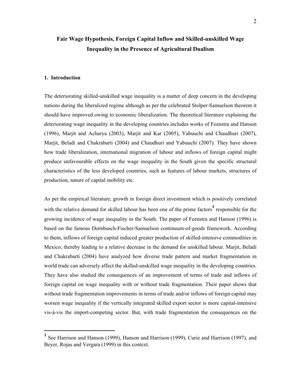# **Fair Wage Hypothesis, Foreign Capital Inflow and Skilled-unskilled Wage Inequality in the Presence of Agricultural Dualism**

#### **1. Introduction**

 $\overline{a}$ 

The deteriorating skilled-unskilled wage inequality is a matter of deep concern in the developing nations during the liberalized regime although as per the celebrated Stolper-Samuelson theorem it should have improved owing to economic liberalization. The theoretical literature explaining the deteriorating wage inequality in the developing countries includes works of Feenstra and Hanson (1996), Marjit and Acharya (2003), Marjit and Kar (2005), Yabuuchi and Chaudhuri (2007), Marjit, Beladi and Chakrabarti (2004) and Chaudhuri and Yabuuchi (2007). They have shown how trade liberalization, international migration of labour and inflows of foreign capital might produce unfavourable effects on the wage inequality in the South given the specific structural characteristics of the less developed countries, such as features of labour markets, structures of production, nature of capital mobility etc.

As per the empirical literature, growth in foreign direct investment which is positively correlated with the relative demand for skilled labour has been one of the prime factors<sup>1</sup> responsible for the growing incidence of wage inequality in the South. The paper of Feenstra and Hanson (1996) is based on the famous Dornbusch-Fischer-Samuelson continuum-of-goods framework. According to them, inflows of foreign capital induced greater production of skilled-intensive commodities in Mexico, thereby leading to a relative decrease in the demand for unskilled labour. Marjit, Beladi and Chakrabarti (2004) have analyzed how diverse trade pattern and market fragmentation in world trade can adversely affect the skilled-unskilled wage inequality in the developing countries. They have also studied the consequences of an improvement of terms of trade and inflows of foreign capital on wage inequality with or without trade fragmentation. Their paper shows that without trade fragmentation improvements in terms of trade and/or inflows of foreign capital may worsen wage inequality if the vertically integrated skilled export sector is more capital-intensive vis-à-vis the import-competing sector. But, with trade fragmentation the consequences on the

<sup>&</sup>lt;sup>1</sup> See Harrison and Hanson (1999), Hanson and Harrison (1999), Curie and Harrison (1997), and Beyer, Rojas and Vergara (1999) in this context.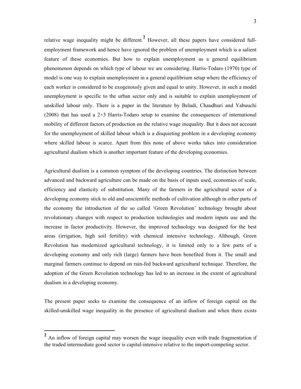relative wage inequality might be different.**<sup>2</sup>** However, all these papers have considered fullemployment framework and hence have ignored the problem of unemployment which is a salient feature of these economies. But how to explain unemployment as a general equilibrium phenomenon depends on which type of labour we are considering. Harris-Todaro (1970) type of model is one way to explain unemployment in a general equilibrium setup where the efficiency of each worker is considered to be exogenously given and equal to unity. However, in such a model unemployment is specific to the urban sector only and is suitable to explain unemployment of unskilled labour only. There is a paper in the literature by Beladi, Chaudhuri and Yabuuchi  $(2008)$  that has used a  $2\times3$  Harris-Todaro setup to examine the consequences of international mobility of different factors of production on the relative wage inequality. But it does not account for the unemployment of skilled labour which is a disquieting problem in a developing economy where skilled labour is scarce. Apart from this none of above works takes into consideration agricultural dualism which is another important feature of the developing economies.

Agricultural dualism is a common symptom of the developing countries. The distinction between advanced and backward agriculture can be made on the basis of inputs used, economies of scale, efficiency and elasticity of substitution. Many of the farmers in the agricultural sector of a developing economy stick to old and unscientific methods of cultivation although in other parts of the economy the introduction of the so called 'Green Revolution' technology brought about revolutionary changes with respect to production technologies and modern inputs use and the increase in factor productivity. However, the improved technology was designed for the best areas (irrigation, high soil fertility) with chemical intensive technology. Although, Green Revolution has modernized agricultural technology, it is limited only to a few parts of a developing economy and only rich (large) farmers have been benefited from it. The small and marginal farmers continue to depend on rain-fed backward agricultural technique. Therefore, the adoption of the Green Revolution technology has led to an increase in the extent of agricultural dualism in a developing economy.

The present paper seeks to examine the consequence of an inflow of foreign capital on the skilled-unskilled wage inequality in the presence of agricultural dualism and when there exists

 $\overline{a}$ 

<sup>&</sup>lt;sup>2</sup> An inflow of foreign capital may worsen the wage inequality even with trade fragmentation if the traded intermediate good sector is capital-intensive relative to the import-competing sector.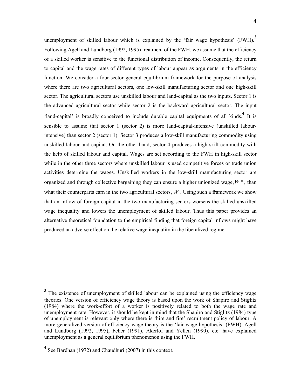unemployment of skilled labour which is explained by the 'fair wage hypothesis' (FWH).**<sup>3</sup>** Following Agell and Lundborg (1992, 1995) treatment of the FWH, we assume that the efficiency of a skilled worker is sensitive to the functional distribution of income. Consequently, the return to capital and the wage rates of different types of labour appear as arguments in the efficiency function. We consider a four-sector general equilibrium framework for the purpose of analysis where there are two agricultural sectors, one low-skill manufacturing sector and one high-skill sector. The agricultural sectors use unskilled labour and land-capital as the two inputs. Sector 1 is the advanced agricultural sector while sector 2 is the backward agricultural sector. The input 'land-capital' is broadly conceived to include durable capital equipments of all kinds.<sup>4</sup> It is sensible to assume that sector 1 (sector 2) is more land-capital-intensive (unskilled labourintensive) than sector 2 (sector 1). Sector 3 produces a low-skill manufacturing commodity using unskilled labour and capital. On the other hand, sector 4 produces a high-skill commodity with the help of skilled labour and capital. Wages are set according to the FWH in high-skill sector while in the other three sectors where unskilled labour is used competitive forces or trade union activities determine the wages. Unskilled workers in the low-skill manufacturing sector are organized and through collective bargaining they can ensure a higher unionized wage,  $W^*$ , than what their counterparts earn in the two agricultural sectors,  $W$ . Using such a framework we show that an inflow of foreign capital in the two manufacturing sectors worsens the skilled-unskilled wage inequality and lowers the unemployment of skilled labour. Thus this paper provides an alternative theoretical foundation to the empirical finding that foreign capital inflows might have produced an adverse effect on the relative wage inequality in the liberalized regime.

 $\overline{a}$ 

**<sup>3</sup>** The existence of unemployment of skilled labour can be explained using the efficiency wage theories. One version of efficiency wage theory is based upon the work of Shapiro and Stiglitz (1984) where the work-effort of a worker is positively related to both the wage rate and unemployment rate. However, it should be kept in mind that the Shapiro and Stiglitz (1984) type of unemployment is relevant only where there is 'hire and fire' recruitment policy of labour. A more generalized version of efficiency wage theory is the 'fair wage hypothesis' (FWH). Agell and Lundborg (1992, 1995), Feher (1991), Akerlof and Yellen (1990), etc. have explained unemployment as a general equilibrium phenomenon using the FWH.

<sup>&</sup>lt;sup>4</sup> See Bardhan (1972) and Chaudhuri (2007) in this context.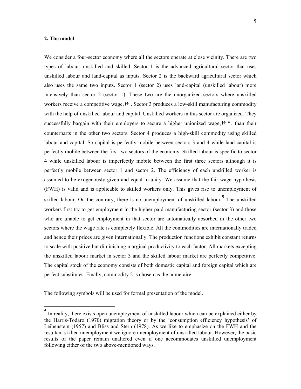#### **2. The model**

 $\overline{a}$ 

We consider a four-sector economy where all the sectors operate at close vicinity. There are two types of labour: unskilled and skilled. Sector 1 is the advanced agricultural sector that uses unskilled labour and land-capital as inputs. Sector 2 is the backward agricultural sector which also uses the same two inputs. Sector 1 (sector 2) uses land-capital (unskilled labour) more intensively than sector 2 (sector 1). These two are the unorganized sectors where unskilled workers receive a competitive wage,*W* . Sector 3 produces a low-skill manufacturing commodity with the help of unskilled labour and capital. Unskilled workers in this sector are organized. They successfully bargain with their employers to secure a higher unionized wage,  $W^*$ , than their counterparts in the other two sectors. Sector 4 produces a high-skill commodity using skilled labour and capital. So capital is perfectly mobile between sectors 3 and 4 while land-caoital is perfectly mobile between the first two sectors of the economy. Skilled labour is specific to sector 4 while unskilled labour is imperfectly mobile between the first three sectors although it is perfectly mobile between sector 1 and sector 2. The efficiency of each unskilled worker is assumed to be exogenously given and equal to unity. We assume that the fair wage hypothesis (FWH) is valid and is applicable to skilled workers only. This gives rise to unemployment of skilled labour. On the contrary, there is no unemployment of unskilled labour.**<sup>5</sup>** The unskilled workers first try to get employment in the higher paid manufacturing sector (sector 3) and those who are unable to get employment in that sector are automatically absorbed in the other two sectors where the wage rate is completely flexible. All the commodities are internationally traded and hence their prices are given internationally. The production functions exhibit constant returns to scale with positive but diminishing marginal productivity to each factor. All markets excepting the unskilled labour market in sector 3 and the skilled labour market are perfectly competitive. The capital stock of the economy consists of both domestic capital and foreign capital which are perfect substitutes. Finally, commodity 2 is chosen as the numeraire.

The following symbols will be used for formal presentation of the model.

<sup>&</sup>lt;sup>5</sup> In reality, there exists open unemployment of unskilled labour which can be explained either by the Harris-Todaro (1970) migration theory or by the 'consumption efficiency hypothesis' of Leibenstein (1957) and Bliss and Stern (1978). As we like to emphasize on the FWH and the resultant skilled unemployment we ignore unemployment of unskilled labour. However, the basic results of the paper remain unaltered even if one accommodates unskilled unemployment following either of the two above-mentioned ways.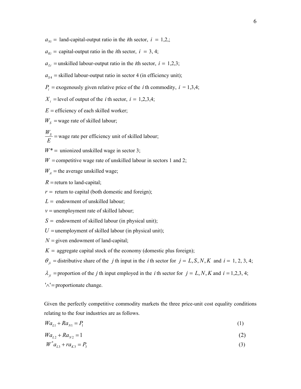$a_{Ni}$  = land-capital-output ratio in the *i*th sector,  $i = 1,2,$ ;

- $a_{ki}$  = capital-output ratio in the *i*th sector,  $i = 3, 4$ ;
- $a_{Li}$  = unskilled labour-output ratio in the *i*th sector,  $i = 1,2,3$ ;
- $a_{S4}$  = skilled labour-output ratio in sector 4 (in efficiency unit);
- $P_i$  = exogenously given relative price of the *i* th commodity,  $i = 1,3,4$ ;
- $X_i$  = level of output of the *i* th sector,  $i = 1,2,3,4$ ;
- $E =$  efficiency of each skilled worker;
- $W<sub>S</sub>$  = wage rate of skilled labour;
- *WS E* = wage rate per efficiency unit of skilled labour;
- $W^*$  = unionized unskilled wage in sector 3;
- $W =$  competitive wage rate of unskilled labour in sectors 1 and 2;
- $W_A$  = the average unskilled wage;
- $R$  = return to land-capital;
- $r =$  return to capital (both domestic and foreign);
- $L =$  endowment of unskilled labour;
- $v =$  unemployment rate of skilled labour;
- $S =$  endowment of skilled labour (in physical unit);
- $U =$  unemployment of skilled labour (in physical unit);
- $N =$  given endowment of land-capital;
- $K =$  aggregate capital stock of the economy (domestic plus foreign);
- $\theta_{ji}$  = distributive share of the *j* th input in the *i* th sector for  $j = L, S, N, K$  and  $i = 1, 2, 3, 4;$
- $\lambda_{ji}$  =proportion of the *j* th input employed in the *i* th sector for  $j = L, N, K$  and  $i = 1,2,3,4$ ;
- '∧'= proportionate change.

Given the perfectly competitive commodity markets the three price-unit cost equality conditions relating to the four industries are as follows.

$$
Wa_{L1} + Ra_{N1} = P_1 \tag{1}
$$

$$
Wa_{L2} + Ra_{N2} = 1 \tag{2}
$$

$$
W^* a_{L3} + r a_{K3} = P_3 \tag{3}
$$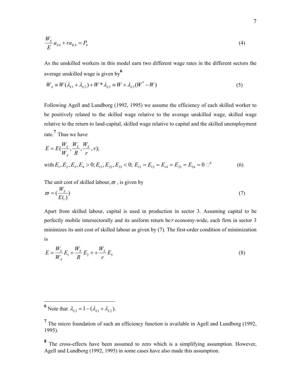$$
\frac{W_S}{E}a_{S4} + ra_{K4} = P_4
$$
\n(4)

As the unskilled workers in this model earn two different wage rates in the different sectors the average unskilled wage is given by**<sup>6</sup>**

$$
W_A \equiv W(\lambda_{L1} + \lambda_{L2}) + W^* \lambda_{L3} \equiv W + \lambda_{L3}(W^* - W)
$$
\n(5)

Following Agell and Lundborg (1992, 1995) we assume the efficiency of each skilled worker to be positively related to the skilled wage relative to the average unskilled wage, skilled wage relative to the return to land-capital, skilled wage relative to capital and the skilled unemployment rate.**<sup>7</sup>** Thus we have

$$
E = E(\frac{W_s}{W_A}, \frac{W_s}{R}, \frac{W_s}{r}, \nu);
$$
  
with  $E_1, E_2, E_3, E_4 > 0; E_{11}, E_{22}, E_{33} < 0; E_{13} = E_{12} = E_{14} = E_{23} = E_{24} = 0$   $\Box^8$  (6)

The unit cost of skilled labour,  $\bar{\omega}$ , is given by

$$
\varpi = \left(\frac{W_{S}}{E(.)}\right) \tag{7}
$$

Apart from skilled labour, capital is used in production in sector 3. Assuming capital to be perfectly mobile intersectorally and its uniform return be *r* economy-wide, each firm in sector 3 minimizes its unit cost of skilled labour as given by (7). The first-order condition of minimization is

$$
E = \frac{W_S}{W_A} E_1 + \frac{W_S}{R} E_2 + \frac{W_S}{r} E_3
$$
\n(8)

**6** Note that  $\lambda_{L3} = 1 - (\lambda_{L1} + \lambda_{L2})$ .

 $\overline{a}$ 

<sup>&</sup>lt;sup>7</sup> The micro foundation of such an efficiency function is available in Agell and Lundborg (1992, 1995).

**<sup>8</sup>** The cross-effects have been assumed to zero which is a simplifying assumption. However, Agell and Lundborg (1992, 1995) in some cases have also made this assumption.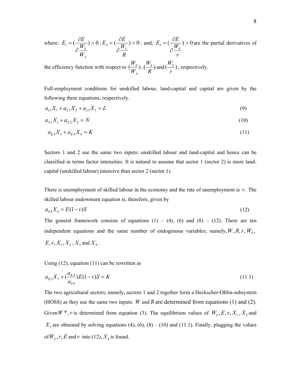where: 
$$
E_1 = \left(\frac{\partial E}{\partial \frac{W_s}{W_A}}\right) > 0
$$
;  $E_2 = \left(\frac{\partial E}{\partial \frac{W_s}{R}}\right) > 0$ ; and,  $E_3 = \left(\frac{\partial E}{\partial \frac{W_s}{r}}\right) > 0$  are the partial derivatives of

the efficiency function with respect to  $\left(\frac{W_S}{W}\right)$ , *A W*  $,\left(\frac{W_S}{P}\right)\varepsilon$ *R* and  $(\frac{W_s}{\cdot})$ , *r* , respectively.

Full-employment conditions for unskilled labour, land-capital and capital are given by the following three equations, respectively.

$$
a_{L1}X_1 + a_{L2}X_2 + a_{L3}X_3 = L \tag{9}
$$

$$
a_{N1}X_1 + a_{N2}X_2 = N \tag{10}
$$

$$
a_{K3}X_3 + a_{K4}X_4 = K \tag{11}
$$

Sectors 1 and 2 use the same two inputs: unskilled labour and land-capital and hence can be classified in terms factor intensities. It is natural to assume that sector 1 (sector 2) is more landcapital (unskilled labour) intensive than sector 2 (sector 1).

There is unemployment of skilled labour in the economy and the rate of unemployment is *v*. The skilled labour endowment equation is, therefore, given by

$$
a_{S4}X_4 = E(1-v)S \tag{12}
$$

The general framework consists of equations  $(1) - (4)$ ,  $(6)$  and  $(8) - (12)$ . There are ten independent equations and the same number of endogenous variables; namely,  $W, R, r, W_s$ ,  $E, v, X_1, X_2, X_3$  and  $X_4$ .

Using (12), equation (11) can be rewritten as

$$
a_{K3}X_3 + \left(\frac{a_{K4}}{a_{S4}}\right)E(1-\nu)S = K\tag{11.1}
$$

The two agricultural sectors; namely, sectors 1 and 2 together form a Heckscher-Ohlin-subsystem (HOSS) as they use the same two inputs. *W* and *R* are determined from equations (1) and (2). Given  $W^*$ , *r* is determined from equation (3). The equilibrium values of  $W_s$ ,  $E$ ,  $v$ ,  $X_1$ ,  $X_2$  and  $X_3$  are obtained by solving equations (4), (6), (8) – (10) and (11.1). Finally, plugging the values of  $W_s$ ,  $r$ ,  $E$  and  $v$  into (12),  $X_4$  is found.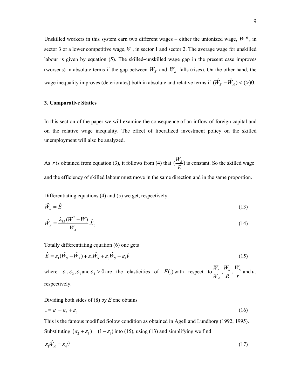Unskilled workers in this system earn two different wages − either the unionized wage, *W* \*, in sector 3 or a lower competitive wage,  $W$ , in sector 1 and sector 2. The average wage for unskilled labour is given by equation (5). The skilled−unskilled wage gap in the present case improves (worsens) in absolute terms if the gap between  $W<sub>S</sub>$  and  $W<sub>A</sub>$  falls (rises). On the other hand, the wage inequality improves (deteriorates) both in absolute and relative terms if  $(\hat{W}_s - \hat{W}_A) < (>)0$ .

#### **3. Comparative Statics**

In this section of the paper we will examine the consequence of an inflow of foreign capital and on the relative wage inequality. The effect of liberalized investment policy on the skilled unemployment will also be analyzed.

As *r* is obtained from equation (3), it follows from (4) that  $(\frac{W_s}{R})$  i *E* is constant. So the skilled wage and the efficiency of skilled labour must move in the same direction and in the same proportion.

Differentiating equations (4) and (5) we get, respectively

$$
\hat{W}_S = \hat{E} \tag{13}
$$

$$
\hat{W}_A = \frac{\lambda_{LS}(W^* - W)}{W_A} \hat{X}_3
$$
\n(14)

Totally differentiating equation (6) one gets

$$
\hat{E} = \varepsilon_1 (\hat{W}_S - \hat{W}_A) + \varepsilon_2 \hat{W}_S + \varepsilon_3 \hat{W}_S + \varepsilon_4 \hat{v}
$$
\n(15)

where  $\varepsilon_1, \varepsilon_2, \varepsilon_3$  and  $\varepsilon_4 > 0$  are the elasticities of  $E(.)$  with respect to  $\frac{r_s}{W}$ ,  $\frac{r_s}{R}$ ,  $\frac{r_s}{W}$ *A*  $W_S$   $W_S$   $W_S$  $W_A$ <sup>r</sup> R<sup>r</sup> and  $\nu$ , respectively.

Dividing both sides of (8) by *E* one obtains

$$
1 = \varepsilon_1 + \varepsilon_2 + \varepsilon_3 \tag{16}
$$

This is the famous modified Solow condition as obtained in Agell and Lundborg (1992, 1995). Substituting  $(\varepsilon_2 + \varepsilon_3) = (1 - \varepsilon_1)$  into (15), using (13) and simplifying we find

$$
\varepsilon_1 \hat{W}_A = \varepsilon_4 \hat{v} \tag{17}
$$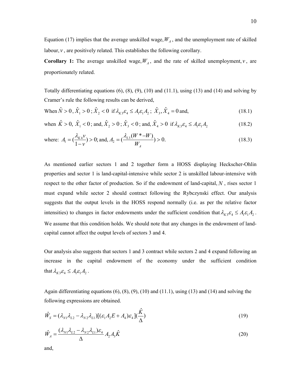Equation (17) implies that the average unskilled wage,  $W_A$ , and the unemployment rate of skilled labour,  $\nu$ , are positively related. This establishes the following corollary.

**Corollary 1:** The average unskilled wage,  $W_A$ , and the rate of skilled unemployment, *v*, are proportionately related.

Totally differentiating equations  $(6)$ ,  $(8)$ ,  $(9)$ ,  $(10)$  and  $(11.1)$ , using  $(13)$  and  $(14)$  and solving by Cramer's rule the following results can be derived,

When 
$$
\hat{N} > 0
$$
,  $\hat{X}_1 > 0$ ;  $\hat{X}_2 < 0$  if  $\lambda_{K3} \varepsilon_4 \le A_1 \varepsilon_1 A_2$ ;  $\hat{X}_3$ ,  $\hat{X}_4 = 0$  and, (18.1)

when 
$$
\hat{K} > 0
$$
,  $\hat{X}_1 < 0$ ; and,  $\hat{X}_2 > 0$ ;  $\hat{X}_3 < 0$ ; and,  $\hat{X}_4 > 0$  if  $\lambda_{K3} \varepsilon_4 \le A_1 \varepsilon_1 A_2$  (18.2)

where: 
$$
A_1 = (\frac{\lambda_{K4}v}{1-v}) > 0
$$
; and,  $A_2 = (\frac{\lambda_{L3}(W^* - W)}{W_A}) > 0$ . (18.3)

As mentioned earlier sectors 1 and 2 together form a HOSS displaying Heckscher-Ohlin properties and sector 1 is land-capital-intensive while sector 2 is unskilled labour-intensive with respect to the other factor of production. So if the endowment of land-capital, *N* , rises sector 1 must expand while sector 2 should contract following the Rybczynski effect. Our analysis suggests that the output levels in the HOSS respond normally (i.e. as per the relative factor intensities) to changes in factor endowments under the sufficient condition that  $\lambda_{K3} \varepsilon_4 \leq A_1 \varepsilon_1 A_2$ . We assume that this condition holds. We should note that any changes in the endowment of landcapital cannot affect the output levels of sectors 3 and 4.

Our analysis also suggests that sectors 1 and 3 contract while sectors 2 and 4 expand following an increase in the capital endowment of the economy under the sufficient condition that  $\lambda_{K3} \varepsilon_4 \leq A_1 \varepsilon_1 A_2$ .

Again differentiating equations (6), (8), (9), (10) and (11.1), using (13) and (14) and solving the following expressions are obtained.

$$
\hat{W}_S = (\lambda_{N1}\lambda_{L2} - \lambda_{N2}\lambda_{L1})[(\varepsilon_1 A_2 E + A_4)\varepsilon_4](\frac{\hat{K}}{\Delta})
$$
\n(19)

$$
\hat{W}_A = \frac{(\lambda_{N1}\lambda_{L2} - \lambda_{N2}\lambda_{L1})\varepsilon_4}{\Delta} A_2 A_3 \hat{K}
$$
\n(20)

and,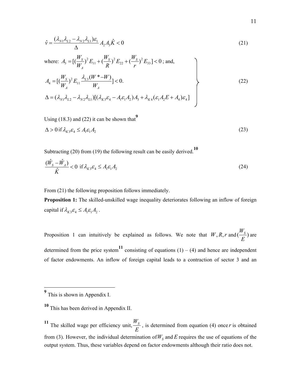$$
\hat{\mathbf{v}} = \frac{(\lambda_{N1}\lambda_{L2} - \lambda_{N2}\lambda_{L1})\varepsilon_1}{\Delta} A_2 A_3 \hat{K} < 0 \tag{21}
$$

where: 
$$
A_3 = [(\frac{W_s}{W_A})^2 E_{11} + (\frac{W_s}{R})^2 E_{22} + (\frac{W_s}{r})^2 E_{33}] < 0
$$
; and,  
\n
$$
A_4 = [(\frac{W_s}{W_A})^2 E_{11} \frac{\lambda_{L3}(W^* - W)}{W_A}] < 0.
$$
\n
$$
\Delta = (\lambda_{N1} \lambda_{L2} - \lambda_{N2} \lambda_{L1}) [(\lambda_{K3} \varepsilon_4 - A_1 \varepsilon_1 A_2) A_3 + \lambda_{K4} (\varepsilon_1 A_2 E + A_4) \varepsilon_4]
$$
\n(22)

Using  $(18.3)$  and  $(22)$  it can be shown that<sup>9</sup>

$$
\Delta > 0 \text{ if } \lambda_{K3} \varepsilon_4 \le A_1 \varepsilon_1 A_2 \tag{23}
$$

Subtracting (20) from (19) the following result can be easily derived.**<sup>10</sup>**

$$
\frac{(\hat{W}_s - \hat{W}_A)}{\hat{K}} < 0 \text{ if } \lambda_{K3} \varepsilon_4 \le A_1 \varepsilon_1 A_2 \tag{24}
$$

From  $(21)$  the following proposition follows immediately.

**Proposition 1:** The skilled-unskilled wage inequality deteriorates following an inflow of foreign capital if  $\lambda_{K3} \varepsilon_4 \leq A_1 \varepsilon_1 A_2$ .

Proposition 1 can intuitively be explained as follows. We note that  $W, R, r$  and  $(\frac{W_s}{R})$  *a E* are determined from the price system<sup>11</sup> consisting of equations  $(1) - (4)$  and hence are independent of factor endowments. An inflow of foreign capital leads to a contraction of sector 3 and an

-

**<sup>9</sup>** This is shown in Appendix I.

**<sup>10</sup>** This has been derived in Appendix II.

<sup>&</sup>lt;sup>11</sup> The skilled wage per efficiency unit,  $\frac{W_s}{R}$ *E* , is determined from equation (4) once *r* is obtained from (3). However, the individual determination of  $W<sub>S</sub>$  and  $E$  requires the use of equations of the output system. Thus, these variables depend on factor endowments although their ratio does not.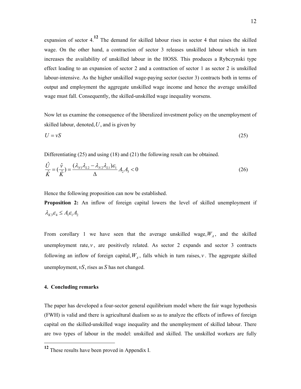expansion of sector 4.**12** The demand for skilled labour rises in sector 4 that raises the skilled wage. On the other hand, a contraction of sector 3 releases unskilled labour which in turn increases the availability of unskilled labour in the HOSS. This produces a Rybczynski type effect leading to an expansion of sector 2 and a contraction of sector 1 as sector 2 is unskilled labour-intensive. As the higher unskilled wage-paying sector (sector 3) contracts both in terms of output and employment the aggregate unskilled wage income and hence the average unskilled wage must fall. Consequently, the skilled-unskilled wage inequality worsens.

Now let us examine the consequence of the liberalized investment policy on the unemployment of skilled labour, denoted,*U*, and is given by

$$
U = vS \tag{25}
$$

Differentiating (25) and using (18) and (21) the following result can be obtained.

$$
\frac{\hat{U}}{\hat{K}} = \left(\frac{\hat{v}}{\hat{K}}\right) = \frac{(\lambda_{N1}\lambda_{L2} - \lambda_{N2}\lambda_{L1})\varepsilon_1}{\Delta}A_2A_3 < 0\tag{26}
$$

Hence the following proposition can now be established.

**Proposition 2:** An inflow of foreign capital lowers the level of skilled unemployment if  $\lambda_{K3} \varepsilon_4 \leq A_1 \varepsilon_1 A_2$ 

From corollary 1 we have seen that the average unskilled wage,  $W_A$ , and the skilled unemployment rate,  $v$ , are positively related. As sector 2 expands and sector 3 contracts following an inflow of foreign capital,  $W_A$ , falls which in turn raises,  $v$ . The aggregate skilled unemployment, *vS*, rises as *S* has not changed.

### **4. Concluding remarks**

 $\overline{a}$ 

The paper has developed a four-sector general equilibrium model where the fair wage hypothesis (FWH) is valid and there is agricultural dualism so as to analyze the effects of inflows of foreign capital on the skilled-unskilled wage inequality and the unemployment of skilled labour. There are two types of labour in the model: unskilled and skilled. The unskilled workers are fully

**<sup>12</sup>** These results have been proved in Appendix I.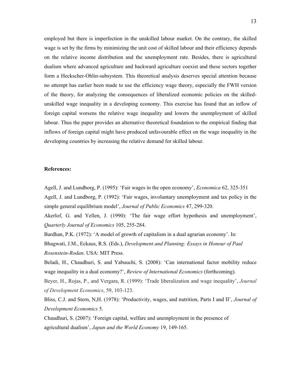employed but there is imperfection in the unskilled labour market. On the contrary, the skilled wage is set by the firms by minimizing the unit cost of skilled labour and their efficiency depends on the relative income distribution and the unemployment rate. Besides, there is agricultural dualism where advanced agriculture and backward agriculture coexist and these sectors together form a Heckscher-Ohlin-subsystem. This theoretical analysis deserves special attention because no attempt has earlier been made to use the efficiency wage theory, especially the FWH version of the theory, for analyzing the consequences of liberalized economic policies on the skilledunskilled wage inequality in a developing economy. This exercise has found that an inflow of foreign capital worsens the relative wage inequality and lowers the unemployment of skilled labour. Thus the paper provides an alternative theoretical foundation to the empirical finding that inflows of foreign capital might have produced unfavourable effect on the wage inequality in the developing countries by increasing the relative demand for skilled labour.

#### **References:**

Agell, J. and Lundborg, P. (1995): 'Fair wages in the open economy', *Economica* 62, 325-351 Agell, J. and Lundborg, P. (1992): 'Fair wages, involuntary unemployment and tax policy in the simple general equilibrium model', *Journal of Public Economics* 47, 299-320.

Akerlof, G. and Yellen, J. (1990): 'The fair wage effort hypothesis and unemployment', *Quarterly Journal of Economics* 105, 255-284.

Bardhan, P.K. (1972): 'A model of growth of capitalism in a dual agrarian economy'. In: Bhagwati, J.M., Eckaus, R.S. (Eds.), *Development and Planning: Essays in Honour of Paul Rosenstein-Rodan*. USA: MIT Press.

Beladi, H., Chaudhuri, S. and Yabuuchi, S. (2008): 'Can international factor mobility reduce wage inequality in a dual economy?', *Review of International Economics* (forthcoming).

Beyer, H., Rojas, P., and Vergara, R. (1999): 'Trade liberalization and wage inequality', *Journal of Development Economics*, 59, 103-123.

Bliss, C.J. and Stern, N,H. (1978): 'Productivity, wages, and nutrition, Parts I and II', *Journal of Development Economics* 5.

Chaudhuri, S. (2007): 'Foreign capital, welfare and unemployment in the presence of agricultural dualism', *Japan and the World Economy* 19, 149-165.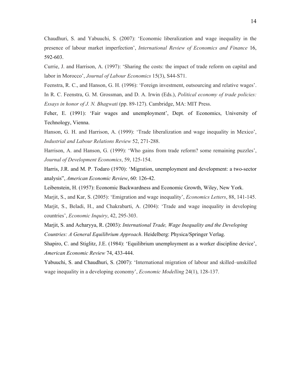Chaudhuri, S. and Yabuuchi, S. (2007): 'Economic liberalization and wage inequality in the presence of labour market imperfection', *International Review of Economics and Finance* 16, 592-603.

Currie, J. and Harrison, A. (1997): 'Sharing the costs: the impact of trade reform on capital and labor in Morocco', *Journal of Labour Economics* 15(3), S44-S71.

Feenstra, R. C., and Hanson, G. H. (1996): 'Foreign investment, outsourcing and relative wages'.

In R. C. Feenstra, G. M. Grossman, and D. A. Irwin (Eds.), *Political economy of trade policies: Essays in honor of J. N. Bhagwati* (pp. 89-127). Cambridge, MA: MIT Press.

Feher, E. (1991): 'Fair wages and unemployment', Dept. of Economics, University of Technology, Vienna.

Hanson, G. H. and Harrison, A. (1999): 'Trade liberalization and wage inequality in Mexico', *Industrial and Labour Relations Review* 52, 271-288.

Harrison, A. and Hanson, G. (1999): 'Who gains from trade reform? some remaining puzzles', *Journal of Development Economics*, 59, 125-154.

Harris, J.R. and M. P. Todaro (1970): 'Migration, unemployment and development: a two-sector analysis", *American Economic Review*, 60: 126-42.

Leibenstein, H. (1957): Economic Backwardness and Economic Growth, Wiley, New York.

Marjit, S., and Kar, S. (2005): 'Emigration and wage inequality', *Economics Letters*, 88, 141-145. Marjit, S., Beladi, H., and Chakrabarti, A. (2004): 'Trade and wage inequality in developing countries', *Economic Inquiry*, 42, 295-303.

Marjit, S. and Acharyya, R. (2003): *International Trade, Wage Inequality and the Developing Countries: A General Equilibrium Approach*. Heidelberg: Physica/Springer Verlag.

Shapiro, C. and Stiglitz, J.E. (1984): 'Equilibrium unemployment as a worker discipline device', *American Economic Review* 74, 433-444.

Yabuuchi, S. and Chaudhuri, S. (2007): 'International migration of labour and skilled–unskilled wage inequality in a developing economy', *Economic Modelling* 24(1), 128-137.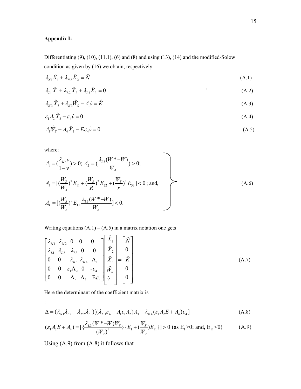# **Appendix I:**

Differentiating  $(9)$ ,  $(10)$ ,  $(11.1)$ ,  $(6)$  and  $(8)$  and using  $(13)$ ,  $(14)$  and the modified-Solow condition as given by (16) we obtain, respectively

$$
\lambda_{N1}\hat{X}_1 + \lambda_{N2}\hat{X}_2 = \hat{N} \tag{A.1}
$$

$$
\lambda_{L1}\hat{X}_1 + \lambda_{L2}\hat{X}_2 + \lambda_{L3}\hat{X}_3 = 0
$$
\n(A.2)

$$
\lambda_{K3}\hat{X}_3 + \lambda_{K3}\hat{W}_S - A_1\hat{v} = \hat{K}
$$
\n(A.3)

$$
\varepsilon_1 A_2 \hat{X}_3 - \varepsilon_4 \hat{v} = 0 \tag{A.4}
$$

$$
A_3\hat{W}_s - A_4\hat{X}_3 - E\varepsilon_4\hat{V} = 0\tag{A.5}
$$

 $\overline{\phantom{0}}$ 

where:

:

$$
A_1 = \left(\frac{\lambda_{K4}v}{1-v}\right) > 0; \ A_2 = \left(\frac{\lambda_{L3}(W^* - W)}{W_A}\right) > 0; A_3 = \left[\left(\frac{W_s}{W_A}\right)^2 E_{11} + \left(\frac{W_s}{R}\right)^2 E_{22} + \left(\frac{W_s}{r}\right)^2 E_{33}\right] < 0; \text{ and,} A_4 = \left[\left(\frac{W_s}{W_A}\right)^2 E_{11} \frac{\lambda_{L3}(W^* - W)}{W_A}\right] < 0.
$$
 (A.6)

Writing equations  $(A.1) - (A.5)$  in a matrix notation one gets

$$
\begin{bmatrix}\n\lambda_{N1} & \lambda_{N2} & 0 & 0 & 0 \\
\lambda_{L1} & \lambda_{L2} & \lambda_{L3} & 0 & 0 \\
0 & 0 & \lambda_{K3} & \lambda_{K4} & -A_1 \\
0 & 0 & \varepsilon_1 A_2 & 0 & -\varepsilon_4 \\
0 & 0 & -A_4 & A_3 & -E\varepsilon_4\n\end{bmatrix}\n\begin{bmatrix}\n\hat{X}_1 \\
\hat{X}_2 \\
\hat{X}_3 \\
\hat{W}_S \\
0\n\end{bmatrix} = \n\begin{bmatrix}\n\hat{N} \\
0 \\
\hat{K} \\
0 \\
0\n\end{bmatrix}
$$
\n(A.7)

Here the determinant of the coefficient matrix is

$$
\Delta = (\lambda_{N1}\lambda_{L2} - \lambda_{N2}\lambda_{L1})[(\lambda_{K3}\varepsilon_4 - A_1\varepsilon_1A_2)A_3 + \lambda_{K4}(\varepsilon_1A_2E + A_4)\varepsilon_4]
$$
\n(A.8)

$$
(\varepsilon_1 A_2 E + A_4) = \left[ \frac{\lambda_{L3}(W^* - W)W_S}{(W_A)^2} \right] \{E_1 + (\frac{W_S}{W_A})E_{11} \} > 0 \text{ (as } E_1 > 0; \text{ and, } E_{11} < 0)
$$
 (A.9)

Using (A.9) from (A.8) it follows that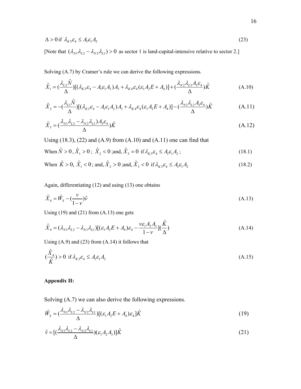$$
\Delta > 0 \text{ if } \lambda_{K3} \varepsilon_4 \le A_1 \varepsilon_1 A_2 \tag{23}
$$

[Note that  $(\lambda_{N1} \lambda_{L2} - \lambda_{N2} \lambda_{L1}) > 0$  as sector 1 is land-capital-intensive relative to sector 2.]

Solving (A.7) by Cramer's rule we can derive the following expressions.

$$
\hat{X}_1 = \left(\frac{\lambda_{L2}\hat{N}}{\Delta}\right) \left[ (\lambda_{K3}\varepsilon_4 - A_1\varepsilon_1 A_2)A_3 + \lambda_{K4}\varepsilon_4(\varepsilon_1 A_2 E + A_4) \right] + \left(\frac{\lambda_{N2}\lambda_{L3}A_3\varepsilon_4}{\Delta}\right)\hat{K}
$$
\n(A.10)

$$
\hat{X}_2 = -\left(\frac{\lambda_{L1}\hat{N}}{\Delta}\right) \left[ (\lambda_{K3}\varepsilon_4 - A_1\varepsilon_1 A_2)A_3 + \lambda_{K4}\varepsilon_4(\varepsilon_1 A_2 E + A_4) \right] - \left(\frac{\lambda_{N1}\lambda_{L3}A_3\varepsilon_4}{\Delta}\right)\hat{K}
$$
\n(A.11)

$$
\hat{X}_3 = \left(\frac{\lambda_{N1}\lambda_{L2} - \lambda_{N2}\lambda_{L1}\right)A_3\varepsilon_4}{\Delta}\hat{K}
$$
\n(A.12)

Using  $(18.3)$ ,  $(22)$  and  $(A.9)$  from  $(A.10)$  and  $(A.11)$  one can find that

When 
$$
\hat{N} > 0
$$
,  $\hat{X}_1 > 0$ ;  $\hat{X}_2 < 0$  ; and,  $\hat{X}_3 = 0$  if  $\lambda_{K3} \varepsilon_4 \le A_1 \varepsilon_1 A_2$  ; (18.1)

When 
$$
\hat{K} > 0
$$
,  $\hat{X}_1 < 0$ ; and,  $\hat{X}_2 > 0$ ; and,  $\hat{X}_3 < 0$  if  $\lambda_{K3} \varepsilon_4 \le A_1 \varepsilon_1 A_2$  (18.2)

Again, differentiating (12) and using (13) one obtains

$$
\hat{X}_4 = \hat{W}_S - \left(\frac{v}{1 - v}\right)\hat{v}
$$
\n(A.13)

Using  $(19)$  and  $(21)$  from  $(A.13)$  one gets

$$
\hat{X}_4 = (\lambda_{N1}\lambda_{L2} - \lambda_{N1}\lambda_{L1})[(\varepsilon_1 A_2 E + A_4)\varepsilon_4 - \frac{v\varepsilon_1 A_2 A_3}{1 - v}](\frac{\hat{K}}{\Delta})
$$
\n(A.14)

Using  $(A.9)$  and  $(23)$  from  $(A.14)$  it follows that

$$
(\frac{\hat{X}_4}{\hat{K}}) > 0 \text{ if } \lambda_{K3} \varepsilon_4 \le A_1 \varepsilon_1 A_2 \tag{A.15}
$$

## **Appendix II:**

Solving (A.7) we can also derive the following expressions.

$$
\hat{W}_S = \left(\frac{\lambda_{N1}\lambda_{L2} - \lambda_{N2}\lambda_{L1}}{\Delta}\right) \left[ (\varepsilon_1 A_2 E + A_4)\varepsilon_4 \right] \hat{K}
$$
\n(19)

$$
\hat{\mathbf{v}} = \left[ \left( \frac{\lambda_{N1} \lambda_{L2} - \lambda_{N2} \lambda_{L1}}{\Delta} \right) (\varepsilon_1 A_2 A_3) \right] \hat{K} \tag{21}
$$